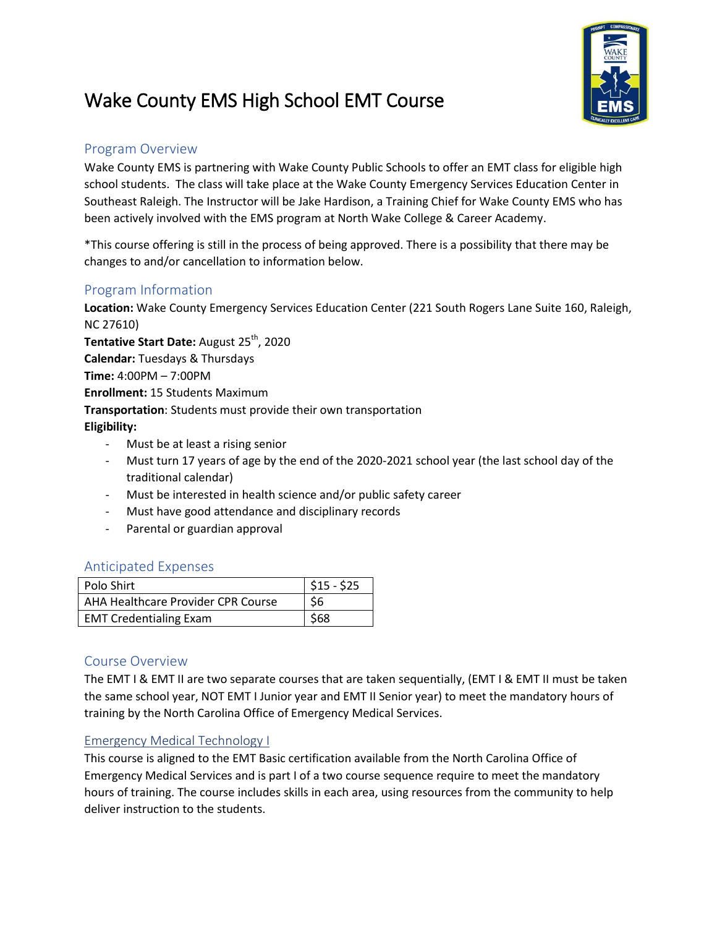# Wake County EMS High School EMT Course



## Program Overview

Wake County EMS is partnering with Wake County Public Schools to offer an EMT class for eligible high school students. The class will take place at the Wake County Emergency Services Education Center in Southeast Raleigh. The Instructor will be Jake Hardison, a Training Chief for Wake County EMS who has been actively involved with the EMS program at North Wake College & Career Academy.

\*This course offering is still in the process of being approved. There is a possibility that there may be changes to and/or cancellation to information below.

## Program Information

**Location:** Wake County Emergency Services Education Center (221 South Rogers Lane Suite 160, Raleigh, NC 27610)

**Tentative Start Date: August 25<sup>th</sup>, 2020 Calendar:** Tuesdays & Thursdays **Time:** 4:00PM – 7:00PM **Enrollment:** 15 Students Maximum **Transportation**: Students must provide their own transportation **Eligibility:**

- Must be at least a rising senior
- Must turn 17 years of age by the end of the 2020-2021 school year (the last school day of the traditional calendar)
- Must be interested in health science and/or public safety career
- Must have good attendance and disciplinary records
- Parental or guardian approval

#### Anticipated Expenses

| Polo Shirt                         | $\frac{1}{2}$ \$15 - \$25 |
|------------------------------------|---------------------------|
| AHA Healthcare Provider CPR Course | \$6                       |
| <b>EMT Credentialing Exam</b>      | \$68                      |

## Course Overview

The EMT I & EMT II are two separate courses that are taken sequentially, (EMT I & EMT II must be taken the same school year, NOT EMT I Junior year and EMT II Senior year) to meet the mandatory hours of training by the North Carolina Office of Emergency Medical Services.

#### Emergency Medical Technology I

This course is aligned to the EMT Basic certification available from the North Carolina Office of Emergency Medical Services and is part I of a two course sequence require to meet the mandatory hours of training. The course includes skills in each area, using resources from the community to help deliver instruction to the students.